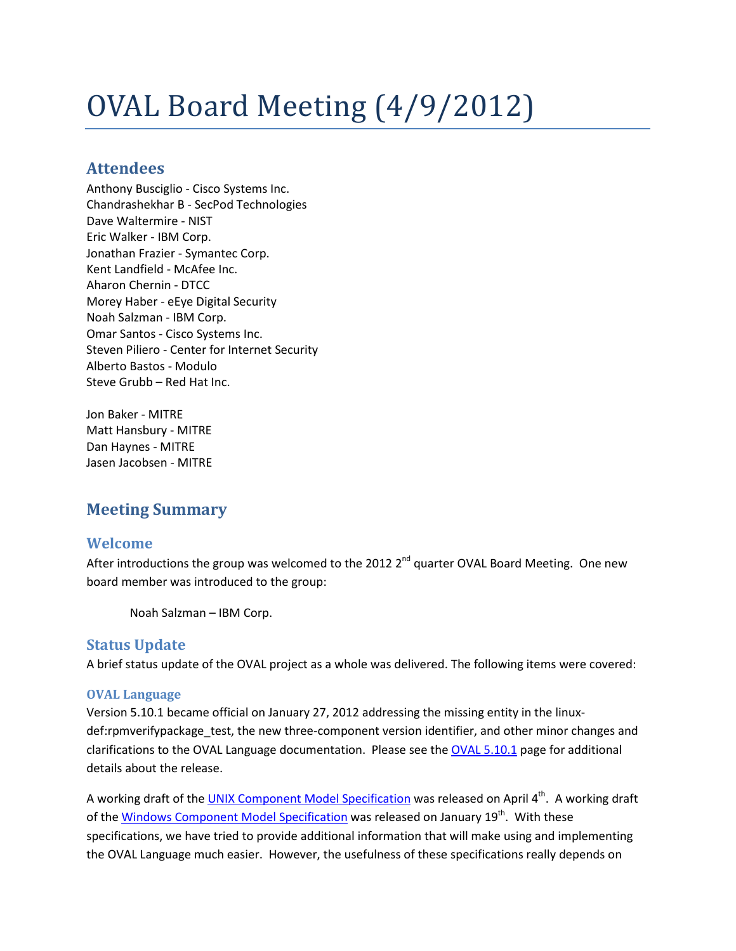# OVAL Board Meeting (4/9/2012)

## **Attendees**

Anthony Busciglio - Cisco Systems Inc. Chandrashekhar B - SecPod Technologies Dave Waltermire - NIST Eric Walker - IBM Corp. Jonathan Frazier - Symantec Corp. Kent Landfield - McAfee Inc. Aharon Chernin - DTCC Morey Haber - eEye Digital Security Noah Salzman - IBM Corp. Omar Santos - Cisco Systems Inc. Steven Piliero - Center for Internet Security Alberto Bastos - Modulo Steve Grubb – Red Hat Inc.

Jon Baker - MITRE Matt Hansbury - MITRE Dan Haynes - MITRE Jasen Jacobsen - MITRE

## **Meeting Summary**

## **Welcome**

After introductions the group was welcomed to the 2012  $2^{nd}$  quarter OVAL Board Meeting. One new board member was introduced to the group:

Noah Salzman – IBM Corp.

## **Status Update**

A brief status update of the OVAL project as a whole was delivered. The following items were covered:

#### **OVAL Language**

Version 5.10.1 became official on January 27, 2012 addressing the missing entity in the linuxdef:rpmverifypackage test, the new three-component version identifier, and other minor changes and clarifications to the OVAL Language documentation. Please see th[e OVAL 5.10.1](http://oval.mitre.org/language/version5.10.1/) page for additional details about the release.

A working draft of the [UNIX Component Model Specification](http://oval.mitre.org/language/version5.10.1/OVAL_Unix_Component_Specification.04-04-2012.pdf) was released on April 4<sup>th</sup>. A working draft of the [Windows Component Model Specification](http://oval.mitre.org/language/version5.10.1/OVAL_Windows_Component_Specification_01-19-2012.pdf) was released on January 19<sup>th</sup>. With these specifications, we have tried to provide additional information that will make using and implementing the OVAL Language much easier. However, the usefulness of these specifications really depends on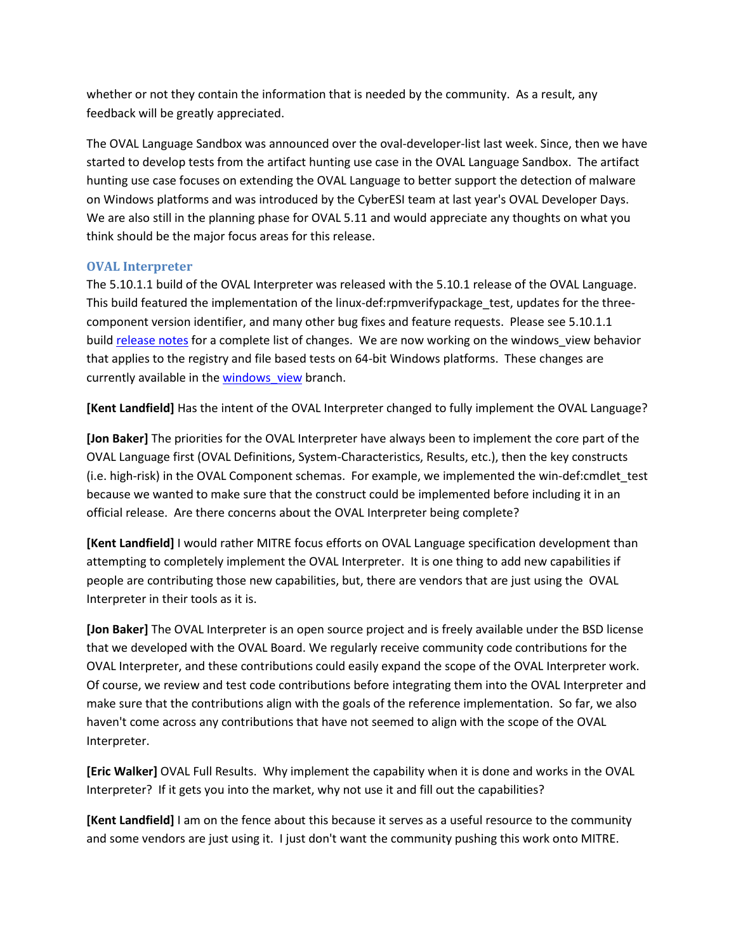whether or not they contain the information that is needed by the community. As a result, any feedback will be greatly appreciated.

The OVAL Language Sandbox was announced over the oval-developer-list last week. Since, then we have started to develop tests from the artifact hunting use case in the OVAL Language Sandbox. The artifact hunting use case focuses on extending the OVAL Language to better support the detection of malware on Windows platforms and was introduced by the CyberESI team at last year's OVAL Developer Days. We are also still in the planning phase for OVAL 5.11 and would appreciate any thoughts on what you think should be the major focus areas for this release.

#### **OVAL Interpreter**

The 5.10.1.1 build of the OVAL Interpreter was released with the 5.10.1 release of the OVAL Language. This build featured the implementation of the linux-def:rpmverifypackage test, updates for the threecomponent version identifier, and many other bug fixes and feature requests. Please see 5.10.1.1 build [release notes](http://iweb.dl.sourceforge.net/project/ovaldi/ovaldi/5.10.1%20Build%201/readme.txt) for a complete list of changes. We are now working on the windows view behavior that applies to the registry and file based tests on 64-bit Windows platforms. These changes are currently available in the windows view branch.

**[Kent Landfield]** Has the intent of the OVAL Interpreter changed to fully implement the OVAL Language?

**[Jon Baker]** The priorities for the OVAL Interpreter have always been to implement the core part of the OVAL Language first (OVAL Definitions, System-Characteristics, Results, etc.), then the key constructs (i.e. high-risk) in the OVAL Component schemas. For example, we implemented the win-def:cmdlet\_test because we wanted to make sure that the construct could be implemented before including it in an official release. Are there concerns about the OVAL Interpreter being complete?

**[Kent Landfield]** I would rather MITRE focus efforts on OVAL Language specification development than attempting to completely implement the OVAL Interpreter. It is one thing to add new capabilities if people are contributing those new capabilities, but, there are vendors that are just using the OVAL Interpreter in their tools as it is.

**[Jon Baker]** The OVAL Interpreter is an open source project and is freely available under the BSD license that we developed with the OVAL Board. We regularly receive community code contributions for the OVAL Interpreter, and these contributions could easily expand the scope of the OVAL Interpreter work. Of course, we review and test code contributions before integrating them into the OVAL Interpreter and make sure that the contributions align with the goals of the reference implementation. So far, we also haven't come across any contributions that have not seemed to align with the scope of the OVAL Interpreter.

**[Eric Walker]** OVAL Full Results. Why implement the capability when it is done and works in the OVAL Interpreter? If it gets you into the market, why not use it and fill out the capabilities?

**[Kent Landfield]** I am on the fence about this because it serves as a useful resource to the community and some vendors are just using it. I just don't want the community pushing this work onto MITRE.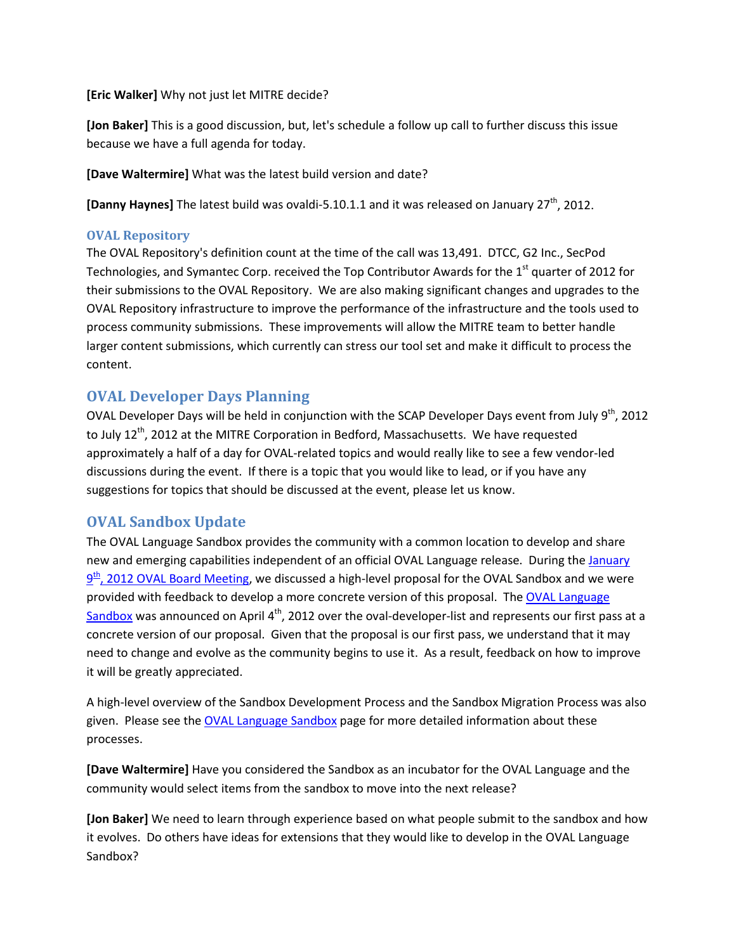**[Eric Walker]** Why not just let MITRE decide?

**[Jon Baker]** This is a good discussion, but, let's schedule a follow up call to further discuss this issue because we have a full agenda for today.

**[Dave Waltermire]** What was the latest build version and date?

**[Danny Haynes]** The latest build was ovaldi-5.10.1.1 and it was released on January 27<sup>th</sup>, 2012.

#### **OVAL Repository**

The OVAL Repository's definition count at the time of the call was 13,491. DTCC, G2 Inc., SecPod Technologies, and Symantec Corp. received the Top Contributor Awards for the  $1<sup>st</sup>$  quarter of 2012 for their submissions to the OVAL Repository. We are also making significant changes and upgrades to the OVAL Repository infrastructure to improve the performance of the infrastructure and the tools used to process community submissions. These improvements will allow the MITRE team to better handle larger content submissions, which currently can stress our tool set and make it difficult to process the content.

## **OVAL Developer Days Planning**

OVAL Developer Days will be held in conjunction with the SCAP Developer Days event from July 9<sup>th</sup>, 2012 to July 12<sup>th</sup>, 2012 at the MITRE Corporation in Bedford, Massachusetts. We have requested approximately a half of a day for OVAL-related topics and would really like to see a few vendor-led discussions during the event. If there is a topic that you would like to lead, or if you have any suggestions for topics that should be discussed at the event, please let us know.

## **OVAL Sandbox Update**

The OVAL Language Sandbox provides the community with a common location to develop and share new and emerging capabilities independent of an official OVAL Language release. During the January  $9<sup>th</sup>$ , 2012 OVAL Board Meeting, we discussed a high-level proposal for the OVAL Sandbox and we were provided with feedback to develop a more concrete version of this proposal. The [OVAL Language](http://oval.mitre.org/language/sandbox.html)  [Sandbox](http://oval.mitre.org/language/sandbox.html) was announced on April 4<sup>th</sup>, 2012 over the oval-developer-list and represents our first pass at a concrete version of our proposal. Given that the proposal is our first pass, we understand that it may need to change and evolve as the community begins to use it. As a result, feedback on how to improve it will be greatly appreciated.

A high-level overview of the Sandbox Development Process and the Sandbox Migration Process was also given. Please see the [OVAL Language Sandbox](http://oval.mitre.org/language/sandbox.html) page for more detailed information about these processes.

**[Dave Waltermire]** Have you considered the Sandbox as an incubator for the OVAL Language and the community would select items from the sandbox to move into the next release?

**[Jon Baker]** We need to learn through experience based on what people submit to the sandbox and how it evolves. Do others have ideas for extensions that they would like to develop in the OVAL Language Sandbox?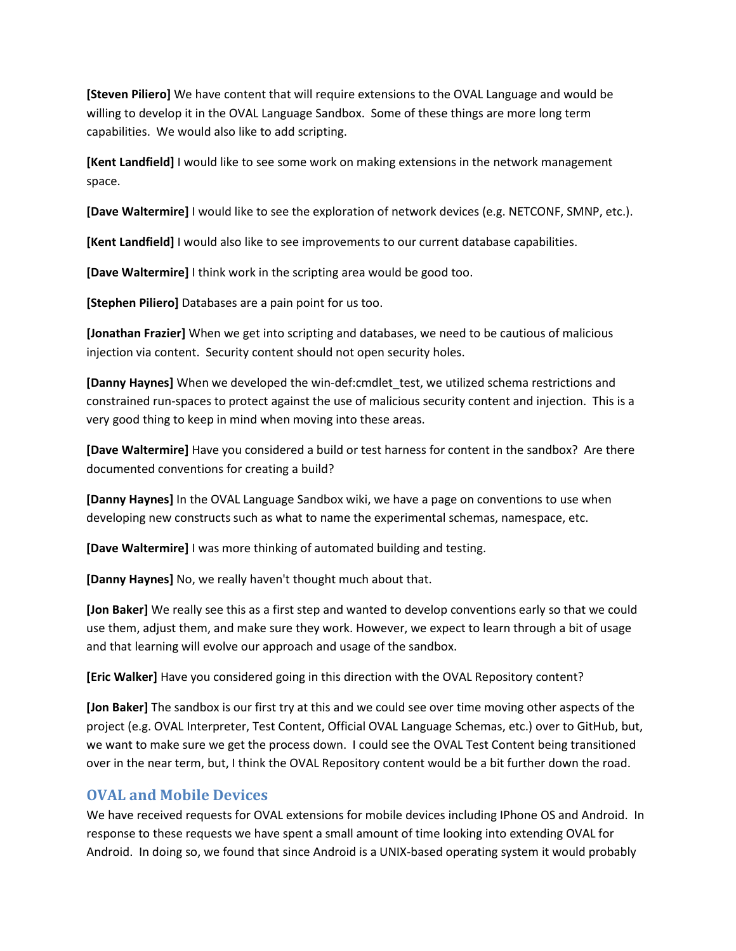**[Steven Piliero]** We have content that will require extensions to the OVAL Language and would be willing to develop it in the OVAL Language Sandbox. Some of these things are more long term capabilities. We would also like to add scripting.

**[Kent Landfield]** I would like to see some work on making extensions in the network management space.

**[Dave Waltermire]** I would like to see the exploration of network devices (e.g. NETCONF, SMNP, etc.).

**[Kent Landfield]** I would also like to see improvements to our current database capabilities.

**[Dave Waltermire]** I think work in the scripting area would be good too.

**[Stephen Piliero]** Databases are a pain point for us too.

**[Jonathan Frazier]** When we get into scripting and databases, we need to be cautious of malicious injection via content. Security content should not open security holes.

**[Danny Haynes]** When we developed the win-def:cmdlet\_test, we utilized schema restrictions and constrained run-spaces to protect against the use of malicious security content and injection. This is a very good thing to keep in mind when moving into these areas.

**[Dave Waltermire]** Have you considered a build or test harness for content in the sandbox? Are there documented conventions for creating a build?

**[Danny Haynes]** In the OVAL Language Sandbox wiki, we have a page on conventions to use when developing new constructs such as what to name the experimental schemas, namespace, etc.

**[Dave Waltermire]** I was more thinking of automated building and testing.

**[Danny Haynes]** No, we really haven't thought much about that.

**[Jon Baker]** We really see this as a first step and wanted to develop conventions early so that we could use them, adjust them, and make sure they work. However, we expect to learn through a bit of usage and that learning will evolve our approach and usage of the sandbox.

**[Eric Walker]** Have you considered going in this direction with the OVAL Repository content?

**[Jon Baker]** The sandbox is our first try at this and we could see over time moving other aspects of the project (e.g. OVAL Interpreter, Test Content, Official OVAL Language Schemas, etc.) over to GitHub, but, we want to make sure we get the process down. I could see the OVAL Test Content being transitioned over in the near term, but, I think the OVAL Repository content would be a bit further down the road.

## **OVAL and Mobile Devices**

We have received requests for OVAL extensions for mobile devices including IPhone OS and Android. In response to these requests we have spent a small amount of time looking into extending OVAL for Android. In doing so, we found that since Android is a UNIX-based operating system it would probably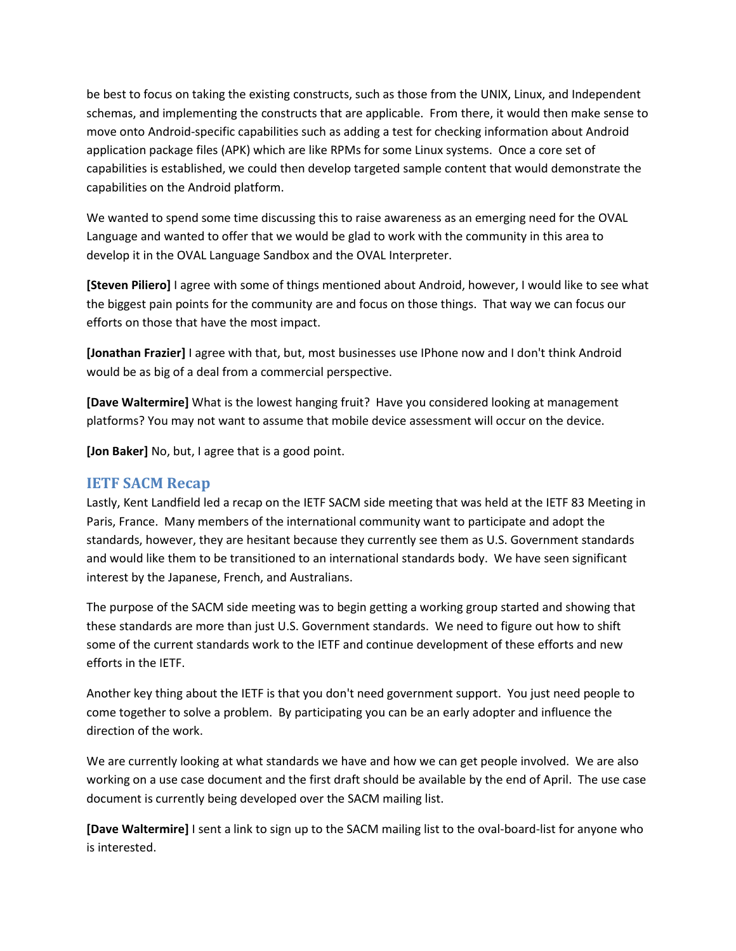be best to focus on taking the existing constructs, such as those from the UNIX, Linux, and Independent schemas, and implementing the constructs that are applicable. From there, it would then make sense to move onto Android-specific capabilities such as adding a test for checking information about Android application package files (APK) which are like RPMs for some Linux systems. Once a core set of capabilities is established, we could then develop targeted sample content that would demonstrate the capabilities on the Android platform.

We wanted to spend some time discussing this to raise awareness as an emerging need for the OVAL Language and wanted to offer that we would be glad to work with the community in this area to develop it in the OVAL Language Sandbox and the OVAL Interpreter.

**[Steven Piliero]** I agree with some of things mentioned about Android, however, I would like to see what the biggest pain points for the community are and focus on those things. That way we can focus our efforts on those that have the most impact.

**[Jonathan Frazier]** I agree with that, but, most businesses use IPhone now and I don't think Android would be as big of a deal from a commercial perspective.

**[Dave Waltermire]** What is the lowest hanging fruit? Have you considered looking at management platforms? You may not want to assume that mobile device assessment will occur on the device.

**[Jon Baker]** No, but, I agree that is a good point.

## **IETF SACM Recap**

Lastly, Kent Landfield led a recap on the IETF SACM side meeting that was held at the IETF 83 Meeting in Paris, France. Many members of the international community want to participate and adopt the standards, however, they are hesitant because they currently see them as U.S. Government standards and would like them to be transitioned to an international standards body. We have seen significant interest by the Japanese, French, and Australians.

The purpose of the SACM side meeting was to begin getting a working group started and showing that these standards are more than just U.S. Government standards. We need to figure out how to shift some of the current standards work to the IETF and continue development of these efforts and new efforts in the IETF.

Another key thing about the IETF is that you don't need government support. You just need people to come together to solve a problem. By participating you can be an early adopter and influence the direction of the work.

We are currently looking at what standards we have and how we can get people involved. We are also working on a use case document and the first draft should be available by the end of April. The use case document is currently being developed over the SACM mailing list.

**[Dave Waltermire]** I sent a link to sign up to the SACM mailing list to the oval-board-list for anyone who is interested.